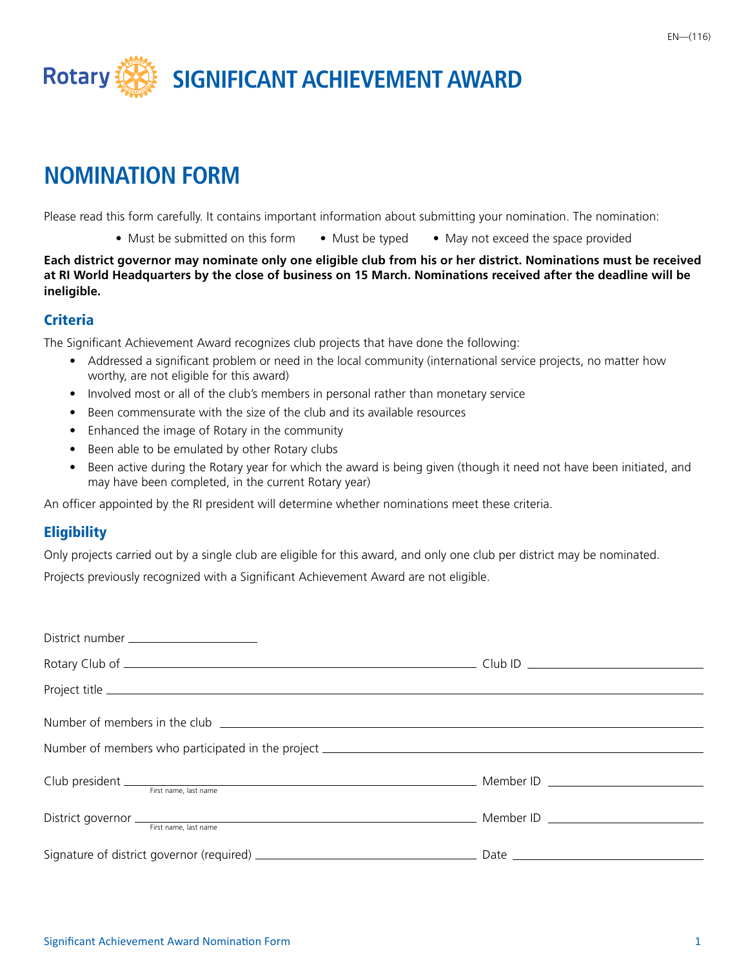

# **NOMINATION FORM**

Please read this form carefully. It contains important information about submitting your nomination. The nomination:

• Must be submitted on this form • Must be typed • May not exceed the space provided

**Each district governor may nominate only one eligible club from his or her district. Nominations must be received at RI World Headquarters by the close of business on 15 March. Nominations received after the deadline will be ineligible.**

#### **Criteria**

The Significant Achievement Award recognizes club projects that have done the following:

- Addressed a significant problem or need in the local community (international service projects, no matter how worthy, are not eligible for this award)
- Involved most or all of the club's members in personal rather than monetary service
- Been commensurate with the size of the club and its available resources
- Enhanced the image of Rotary in the community
- Been able to be emulated by other Rotary clubs
- Been active during the Rotary year for which the award is being given (though it need not have been initiated, and may have been completed, in the current Rotary year)

An officer appointed by the RI president will determine whether nominations meet these criteria.

### **Eligibility**

Only projects carried out by a single club are eligible for this award, and only one club per district may be nominated.

Projects previously recognized with a Significant Achievement Award are not eligible.

| District number ______________________                                                                                                                                                                                         |  |
|--------------------------------------------------------------------------------------------------------------------------------------------------------------------------------------------------------------------------------|--|
|                                                                                                                                                                                                                                |  |
|                                                                                                                                                                                                                                |  |
| Number of members in the club example and the contract of the state of the state of the state of the state of the state of the state of the state of the state of the state of the state of the state of the state of the stat |  |
| Number of members who participated in the project _______________________________                                                                                                                                              |  |
|                                                                                                                                                                                                                                |  |
| District governor <u>First name</u> , last name                                                                                                                                                                                |  |
|                                                                                                                                                                                                                                |  |